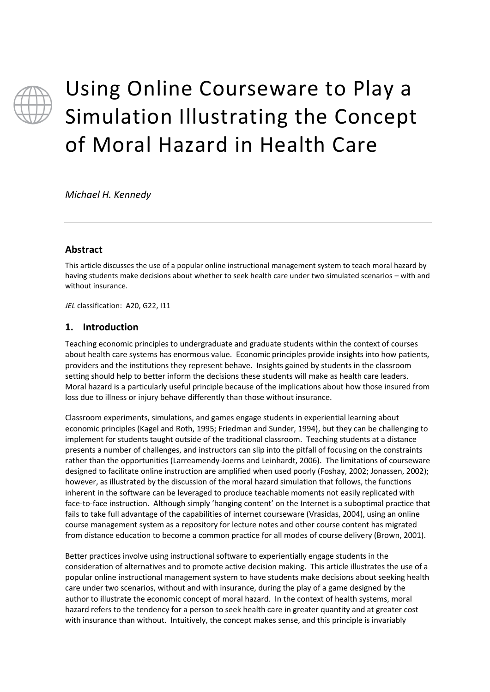

# Using Online Courseware to Play a Simulation Illustrating the Concept of Moral Hazard in Health Care

*Michael H. Kennedy*

## **Abstract**

This article discusses the use of a popular online instructional management system to teach moral hazard by having students make decisions about whether to seek health care under two simulated scenarios – with and without insurance.

*JEL* classification: A20, G22, I11

#### **1. Introduction**

Teaching economic principles to undergraduate and graduate students within the context of courses about health care systems has enormous value. Economic principles provide insights into how patients, providers and the institutions they represent behave. Insights gained by students in the classroom setting should help to better inform the decisions these students will make as health care leaders. Moral hazard is a particularly useful principle because of the implications about how those insured from loss due to illness or injury behave differently than those without insurance.

Classroom experiments, simulations, and games engage students in experiential learning about economic principles (Kagel and Roth, 1995; Friedman and Sunder, 1994), but they can be challenging to implement for students taught outside of the traditional classroom. Teaching students at a distance presents a number of challenges, and instructors can slip into the pitfall of focusing on the constraints rather than the opportunities (Larreamendy-Joerns and Leinhardt, 2006). The limitations of courseware designed to facilitate online instruction are amplified when used poorly (Foshay, 2002; Jonassen, 2002); however, as illustrated by the discussion of the moral hazard simulation that follows, the functions inherent in the software can be leveraged to produce teachable moments not easily replicated with face-to-face instruction. Although simply 'hanging content' on the Internet is a suboptimal practice that fails to take full advantage of the capabilities of internet courseware (Vrasidas, 2004), using an online course management system as a repository for lecture notes and other course content has migrated from distance education to become a common practice for all modes of course delivery (Brown, 2001).

Better practices involve using instructional software to experientially engage students in the consideration of alternatives and to promote active decision making. This article illustrates the use of a popular online instructional management system to have students make decisions about seeking health care under two scenarios, without and with insurance, during the play of a game designed by the author to illustrate the economic concept of moral hazard. In the context of health systems, moral hazard refers to the tendency for a person to seek health care in greater quantity and at greater cost with insurance than without. Intuitively, the concept makes sense, and this principle is invariably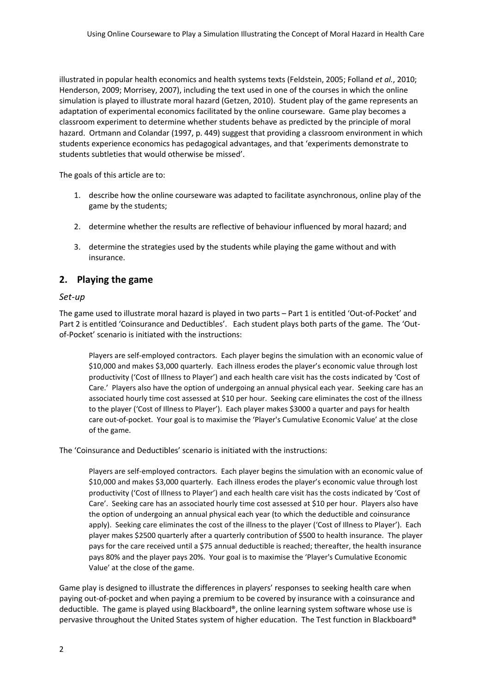illustrated in popular health economics and health systems texts (Feldstein, 2005; Folland *et al.*, 2010; Henderson, 2009; Morrisey, 2007), including the text used in one of the courses in which the online simulation is played to illustrate moral hazard (Getzen, 2010). Student play of the game represents an adaptation of experimental economics facilitated by the online courseware. Game play becomes a classroom experiment to determine whether students behave as predicted by the principle of moral hazard. Ortmann and Colandar (1997, p. 449) suggest that providing a classroom environment in which students experience economics has pedagogical advantages, and that 'experiments demonstrate to students subtleties that would otherwise be missed'.

The goals of this article are to:

- 1. describe how the online courseware was adapted to facilitate asynchronous, online play of the game by the students;
- 2. determine whether the results are reflective of behaviour influenced by moral hazard; and
- 3. determine the strategies used by the students while playing the game without and with insurance.

# **2. Playing the game**

#### *Set-up*

The game used to illustrate moral hazard is played in two parts – Part 1 is entitled 'Out-of-Pocket' and Part 2 is entitled 'Coinsurance and Deductibles'. Each student plays both parts of the game. The 'Outof-Pocket' scenario is initiated with the instructions:

Players are self-employed contractors. Each player begins the simulation with an economic value of \$10,000 and makes \$3,000 quarterly. Each illness erodes the player's economic value through lost productivity ('Cost of Illness to Player') and each health care visit has the costs indicated by 'Cost of Care.' Players also have the option of undergoing an annual physical each year. Seeking care has an associated hourly time cost assessed at \$10 per hour. Seeking care eliminates the cost of the illness to the player ('Cost of Illness to Player'). Each player makes \$3000 a quarter and pays for health care out-of-pocket. Your goal is to maximise the 'Player's Cumulative Economic Value' at the close of the game.

The 'Coinsurance and Deductibles' scenario is initiated with the instructions:

Players are self-employed contractors. Each player begins the simulation with an economic value of \$10,000 and makes \$3,000 quarterly. Each illness erodes the player's economic value through lost productivity ('Cost of Illness to Player') and each health care visit has the costs indicated by 'Cost of Care'. Seeking care has an associated hourly time cost assessed at \$10 per hour. Players also have the option of undergoing an annual physical each year (to which the deductible and coinsurance apply). Seeking care eliminates the cost of the illness to the player ('Cost of Illness to Player'). Each player makes \$2500 quarterly after a quarterly contribution of \$500 to health insurance. The player pays for the care received until a \$75 annual deductible is reached; thereafter, the health insurance pays 80% and the player pays 20%. Your goal is to maximise the 'Player's Cumulative Economic Value' at the close of the game.

Game play is designed to illustrate the differences in players' responses to seeking health care when paying out-of-pocket and when paying a premium to be covered by insurance with a coinsurance and deductible. The game is played using Blackboard®, the online learning system software whose use is pervasive throughout the United States system of higher education. The Test function in Blackboard®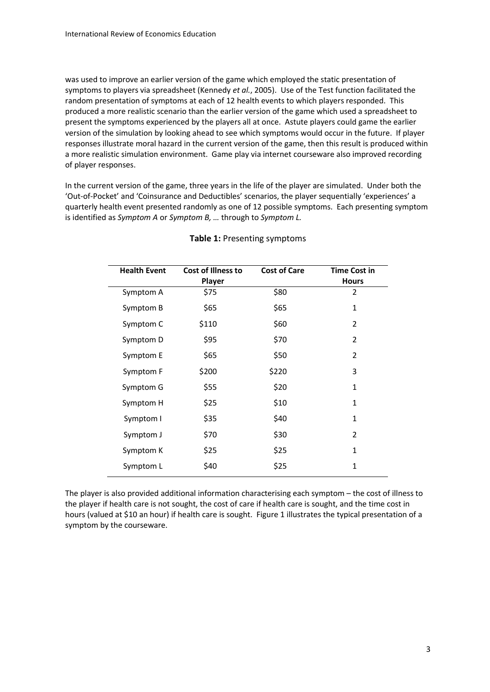was used to improve an earlier version of the game which employed the static presentation of symptoms to players via spreadsheet (Kennedy *et al.*, 2005). Use of the Test function facilitated the random presentation of symptoms at each of 12 health events to which players responded. This produced a more realistic scenario than the earlier version of the game which used a spreadsheet to present the symptoms experienced by the players all at once. Astute players could game the earlier version of the simulation by looking ahead to see which symptoms would occur in the future. If player responses illustrate moral hazard in the current version of the game, then this result is produced within a more realistic simulation environment. Game play via internet courseware also improved recording of player responses.

In the current version of the game, three years in the life of the player are simulated. Under both the 'Out-of-Pocket' and 'Coinsurance and Deductibles' scenarios, the player sequentially 'experiences' a quarterly health event presented randomly as one of 12 possible symptoms. Each presenting symptom is identified as *Symptom A* or *Symptom B, …* through to *Symptom L.*

| <b>Health Event</b> | <b>Cost of Illness to</b><br>Player | <b>Cost of Care</b> | <b>Time Cost in</b><br><b>Hours</b> |
|---------------------|-------------------------------------|---------------------|-------------------------------------|
| Symptom A           | \$75                                | \$80                | 2                                   |
| Symptom B           | \$65                                | \$65                | 1                                   |
| Symptom C           | \$110                               | \$60                | 2                                   |
| Symptom D           | \$95                                | \$70                | 2                                   |
| Symptom E           | \$65                                | \$50                | 2                                   |
| Symptom F           | \$200                               | \$220               | 3                                   |
| Symptom G           | \$55                                | \$20                | $\mathbf{1}$                        |
| Symptom H           | \$25                                | \$10                | $\mathbf{1}$                        |
| Symptom I           | \$35                                | \$40                | $\mathbf{1}$                        |
| Symptom J           | \$70                                | \$30                | 2                                   |
| Symptom K           | \$25                                | \$25                | $\mathbf{1}$                        |
| Symptom L           | \$40                                | \$25                | 1                                   |

### **Table 1:** Presenting symptoms

The player is also provided additional information characterising each symptom – the cost of illness to the player if health care is not sought, the cost of care if health care is sought, and the time cost in hours (valued at \$10 an hour) if health care is sought. Figure 1 illustrates the typical presentation of a symptom by the courseware.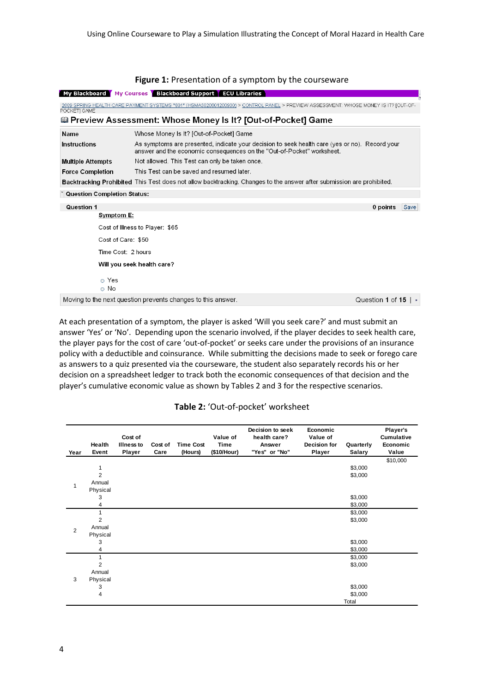| Figure 1: Presentation of a symptom by the courseware |  |  |
|-------------------------------------------------------|--|--|
|-------------------------------------------------------|--|--|

|                                    | My Blackboard My Courses Blackboard Support ECU Libraries                                                                                                                |                  |      |
|------------------------------------|--------------------------------------------------------------------------------------------------------------------------------------------------------------------------|------------------|------|
| POCKET) GAME                       | 2009 SPRING HEALTH CARE PAYMENT SYSTEMS *601* (HSMA3020601200930) > CONTROL PANEL > PREVIEW ASSESSMENT: WHOSE MONEY IS IT? [OUT-OF-                                      |                  |      |
|                                    | @ Preview Assessment: Whose Money Is It? [Out-of-Pocket] Game                                                                                                            |                  |      |
| Name                               | Whose Money Is It? [Out-of-Pocket] Game                                                                                                                                  |                  |      |
| <b>Instructions</b>                | As symptoms are presented, indicate your decision to seek health care (yes or no). Record your<br>answer and the economic consequences on the "Out-of-Pocket" worksheet. |                  |      |
| <b>Multiple Attempts</b>           | Not allowed. This Test can only be taken once.                                                                                                                           |                  |      |
| <b>Force Completion</b>            | This Test can be saved and resumed later.                                                                                                                                |                  |      |
|                                    | Backtracking Prohibited This Test does not allow backtracking. Changes to the answer after submission are prohibited.                                                    |                  |      |
| <b>Question Completion Status:</b> |                                                                                                                                                                          |                  |      |
| Question 1                         |                                                                                                                                                                          | 0 points         | Save |
| <b>Symptom E:</b>                  |                                                                                                                                                                          |                  |      |
|                                    | Cost of Illness to Player: \$65                                                                                                                                          |                  |      |
| Cost of Care: \$50                 |                                                                                                                                                                          |                  |      |
| Time Cost: 2 hours                 |                                                                                                                                                                          |                  |      |
|                                    | Will you seek health care?                                                                                                                                               |                  |      |
| ⊙ Yes<br>$\circ$ No                |                                                                                                                                                                          |                  |      |
|                                    | Moving to the next question prevents changes to this answer.                                                                                                             | Question 1 of 15 |      |

At each presentation of a symptom, the player is asked 'Will you seek care?' and must submit an answer 'Yes' or 'No'. Depending upon the scenario involved, if the player decides to seek health care, the player pays for the cost of care 'out-of-pocket' or seeks care under the provisions of an insurance policy with a deductible and coinsurance. While submitting the decisions made to seek or forego care as answers to a quiz presented via the courseware, the student also separately records his or her decision on a spreadsheet ledger to track both the economic consequences of that decision and the player's cumulative economic value as shown by Tables 2 and 3 for the respective scenarios.

#### **Table 2:** 'Out-of-pocket' worksheet

| Year           | Health<br>Event | Cost of<br>Illness to<br>Player | Cost of<br>Care | <b>Time Cost</b><br>(Hours) | Value of<br><b>Time</b><br>(\$10/Hour) | Decision to seek<br>health care?<br>Answer<br>"Yes" or "No" | Economic<br>Value of<br>Decision for<br>Player | Quarterly<br><b>Salary</b> | Player's<br><b>Cumulative</b><br>Economic<br>Value |
|----------------|-----------------|---------------------------------|-----------------|-----------------------------|----------------------------------------|-------------------------------------------------------------|------------------------------------------------|----------------------------|----------------------------------------------------|
|                |                 |                                 |                 |                             |                                        |                                                             |                                                |                            | \$10,000                                           |
|                | 1               |                                 |                 |                             |                                        |                                                             |                                                | \$3,000                    |                                                    |
|                | $\overline{2}$  |                                 |                 |                             |                                        |                                                             |                                                | \$3,000                    |                                                    |
| 1              | Annual          |                                 |                 |                             |                                        |                                                             |                                                |                            |                                                    |
|                | Physical        |                                 |                 |                             |                                        |                                                             |                                                |                            |                                                    |
|                | 3               |                                 |                 |                             |                                        |                                                             |                                                | \$3,000                    |                                                    |
|                | 4               |                                 |                 |                             |                                        |                                                             |                                                | \$3,000                    |                                                    |
|                | 1               |                                 |                 |                             |                                        |                                                             |                                                | \$3,000                    |                                                    |
|                | $\overline{2}$  |                                 |                 |                             |                                        |                                                             |                                                | \$3,000                    |                                                    |
|                | Annual          |                                 |                 |                             |                                        |                                                             |                                                |                            |                                                    |
| $\overline{2}$ | Physical        |                                 |                 |                             |                                        |                                                             |                                                |                            |                                                    |
|                | 3               |                                 |                 |                             |                                        |                                                             |                                                | \$3,000                    |                                                    |
|                | 4               |                                 |                 |                             |                                        |                                                             |                                                | \$3,000                    |                                                    |
|                | 1               |                                 |                 |                             |                                        |                                                             |                                                | \$3,000                    |                                                    |
|                | $\overline{2}$  |                                 |                 |                             |                                        |                                                             |                                                | \$3,000                    |                                                    |
|                | Annual          |                                 |                 |                             |                                        |                                                             |                                                |                            |                                                    |
| 3              | Physical        |                                 |                 |                             |                                        |                                                             |                                                |                            |                                                    |
|                | 3               |                                 |                 |                             |                                        |                                                             |                                                | \$3,000                    |                                                    |
|                | $\overline{4}$  |                                 |                 |                             |                                        |                                                             |                                                |                            |                                                    |
|                |                 |                                 |                 |                             |                                        |                                                             |                                                | \$3,000                    |                                                    |
|                |                 |                                 |                 |                             |                                        |                                                             |                                                | Total                      |                                                    |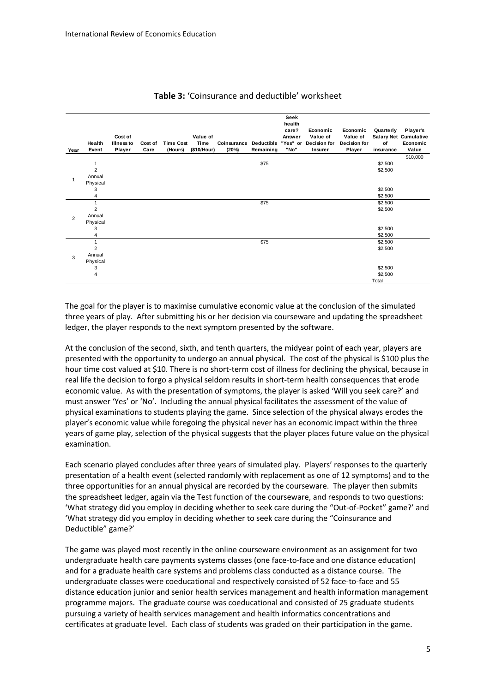| Year | Health<br>Event                           | Cost of<br>Illness to<br>Player | Cost of<br>Care | <b>Time Cost</b><br>(Hours) | Value of<br>Time<br>(\$10/Hour) | Coinsurance<br>(20%) | <b>Deductible</b><br>Remaining | Seek<br>health<br>care?<br>Answer<br>"Yes" or<br>"No" | Economic<br>Value of<br>Decision for<br>Insurer | Economic<br>Value of<br>Decision for<br>Player | Quarterly<br>of<br>insurance | Player's<br><b>Salary Net Cumulative</b><br>Economic<br>Value |
|------|-------------------------------------------|---------------------------------|-----------------|-----------------------------|---------------------------------|----------------------|--------------------------------|-------------------------------------------------------|-------------------------------------------------|------------------------------------------------|------------------------------|---------------------------------------------------------------|
|      | 1<br>$\overline{2}$<br>Annual             |                                 |                 |                             |                                 |                      | \$75                           |                                                       |                                                 |                                                | \$2,500<br>\$2,500           | \$10,000                                                      |
|      | Physical<br>3<br>4                        |                                 |                 |                             |                                 |                      |                                |                                                       |                                                 |                                                | \$2,500<br>\$2,500           |                                                               |
| 2    | $\overline{2}$<br>Annual<br>Physical      |                                 |                 |                             |                                 |                      | \$75                           |                                                       |                                                 |                                                | \$2,500<br>\$2,500           |                                                               |
|      | 3<br>4                                    |                                 |                 |                             |                                 |                      |                                |                                                       |                                                 |                                                | \$2,500<br>\$2,500           |                                                               |
| 3    | 1<br>$\overline{2}$<br>Annual<br>Physical |                                 |                 |                             |                                 |                      | \$75                           |                                                       |                                                 |                                                | \$2,500<br>\$2,500           |                                                               |
|      | 3<br>4                                    |                                 |                 |                             |                                 |                      |                                |                                                       |                                                 |                                                | \$2,500<br>\$2,500<br>Total  |                                                               |

## **Table 3:** 'Coinsurance and deductible' worksheet

The goal for the player is to maximise cumulative economic value at the conclusion of the simulated three years of play. After submitting his or her decision via courseware and updating the spreadsheet ledger, the player responds to the next symptom presented by the software.

At the conclusion of the second, sixth, and tenth quarters, the midyear point of each year, players are presented with the opportunity to undergo an annual physical. The cost of the physical is \$100 plus the hour time cost valued at \$10. There is no short-term cost of illness for declining the physical, because in real life the decision to forgo a physical seldom results in short-term health consequences that erode economic value. As with the presentation of symptoms, the player is asked 'Will you seek care?' and must answer 'Yes' or 'No'. Including the annual physical facilitates the assessment of the value of physical examinations to students playing the game. Since selection of the physical always erodes the player's economic value while foregoing the physical never has an economic impact within the three years of game play, selection of the physical suggests that the player places future value on the physical examination.

Each scenario played concludes after three years of simulated play. Players' responses to the quarterly presentation of a health event (selected randomly with replacement as one of 12 symptoms) and to the three opportunities for an annual physical are recorded by the courseware. The player then submits the spreadsheet ledger, again via the Test function of the courseware, and responds to two questions: 'What strategy did you employ in deciding whether to seek care during the "Out-of-Pocket" game?' and 'What strategy did you employ in deciding whether to seek care during the "Coinsurance and Deductible" game?'

The game was played most recently in the online courseware environment as an assignment for two undergraduate health care payments systems classes (one face-to-face and one distance education) and for a graduate health care systems and problems class conducted as a distance course. The undergraduate classes were coeducational and respectively consisted of 52 face-to-face and 55 distance education junior and senior health services management and health information management programme majors. The graduate course was coeducational and consisted of 25 graduate students pursuing a variety of health services management and health informatics concentrations and certificates at graduate level. Each class of students was graded on their participation in the game.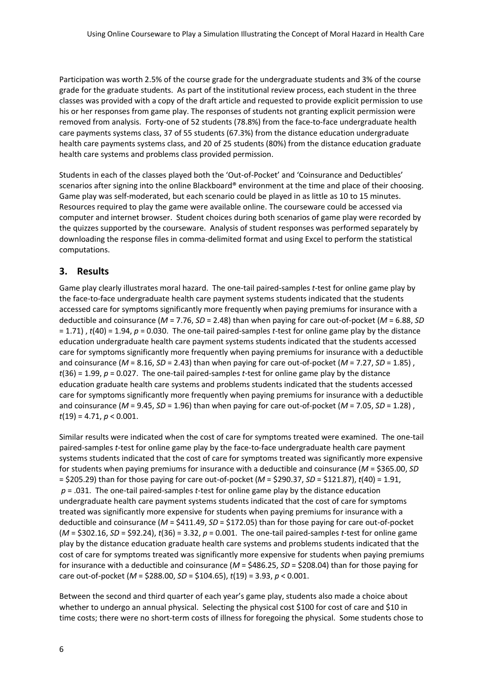Participation was worth 2.5% of the course grade for the undergraduate students and 3% of the course grade for the graduate students. As part of the institutional review process, each student in the three classes was provided with a copy of the draft article and requested to provide explicit permission to use his or her responses from game play. The responses of students not granting explicit permission were removed from analysis. Forty-one of 52 students (78.8%) from the face-to-face undergraduate health care payments systems class, 37 of 55 students (67.3%) from the distance education undergraduate health care payments systems class, and 20 of 25 students (80%) from the distance education graduate health care systems and problems class provided permission.

Students in each of the classes played both the 'Out-of-Pocket' and 'Coinsurance and Deductibles' scenarios after signing into the online Blackboard® environment at the time and place of their choosing. Game play was self-moderated, but each scenario could be played in as little as 10 to 15 minutes. Resources required to play the game were available online. The courseware could be accessed via computer and internet browser. Student choices during both scenarios of game play were recorded by the quizzes supported by the courseware. Analysis of student responses was performed separately by downloading the response files in comma-delimited format and using Excel to perform the statistical computations.

# **3. Results**

Game play clearly illustrates moral hazard. The one-tail paired-samples *t*-test for online game play by the face-to-face undergraduate health care payment systems students indicated that the students accessed care for symptoms significantly more frequently when paying premiums for insurance with a deductible and coinsurance (*M* = 7.76, *SD* = 2.48) than when paying for care out-of-pocket (*M* = 6.88, *SD* = 1.71) , *t*(40) = 1.94, *p* = 0.030. The one-tail paired-samples *t*-test for online game play by the distance education undergraduate health care payment systems students indicated that the students accessed care for symptoms significantly more frequently when paying premiums for insurance with a deductible and coinsurance (*M* = 8.16, *SD* = 2.43) than when paying for care out-of-pocket (*M* = 7.27, *SD* = 1.85) , *t*(36) = 1.99, *p* = 0.027. The one-tail paired-samples *t*-test for online game play by the distance education graduate health care systems and problems students indicated that the students accessed care for symptoms significantly more frequently when paying premiums for insurance with a deductible and coinsurance (*M* = 9.45, *SD* = 1.96) than when paying for care out-of-pocket (*M* = 7.05, *SD* = 1.28) , *t*(19) = 4.71, *p* < 0.001.

Similar results were indicated when the cost of care for symptoms treated were examined. The one-tail paired-samples *t*-test for online game play by the face-to-face undergraduate health care payment systems students indicated that the cost of care for symptoms treated was significantly more expensive for students when paying premiums for insurance with a deductible and coinsurance (*M* = \$365.00, *SD* = \$205.29) than for those paying for care out-of-pocket (*M* = \$290.37, *SD* = \$121.87), *t*(40) = 1.91, *p* = .031. The one-tail paired-samples *t*-test for online game play by the distance education undergraduate health care payment systems students indicated that the cost of care for symptoms treated was significantly more expensive for students when paying premiums for insurance with a deductible and coinsurance (*M* = \$411.49, *SD* = \$172.05) than for those paying for care out-of-pocket (*M* = \$302.16, *SD* = \$92.24), *t*(36) = 3.32, *p* = 0.001. The one-tail paired-samples *t*-test for online game play by the distance education graduate health care systems and problems students indicated that the cost of care for symptoms treated was significantly more expensive for students when paying premiums for insurance with a deductible and coinsurance (*M* = \$486.25, *SD* = \$208.04) than for those paying for care out-of-pocket (*M* = \$288.00, *SD* = \$104.65), *t*(19) = 3.93, *p* < 0.001.

Between the second and third quarter of each year's game play, students also made a choice about whether to undergo an annual physical. Selecting the physical cost \$100 for cost of care and \$10 in time costs; there were no short-term costs of illness for foregoing the physical. Some students chose to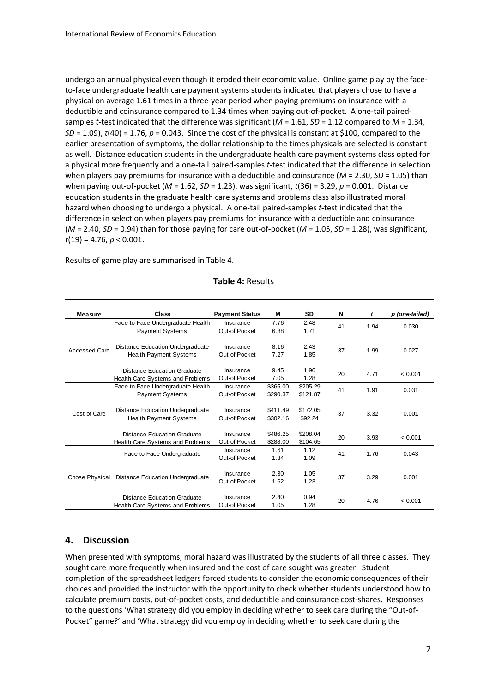undergo an annual physical even though it eroded their economic value. Online game play by the faceto-face undergraduate health care payment systems students indicated that players chose to have a physical on average 1.61 times in a three-year period when paying premiums on insurance with a deductible and coinsurance compared to 1.34 times when paying out-of-pocket. A one-tail pairedsamples *t*-test indicated that the difference was significant (*M* = 1.61, *SD* = 1.12 compared to *M* = 1.34, *SD* = 1.09), *t*(40) = 1.76, *p* = 0.043. Since the cost of the physical is constant at \$100, compared to the earlier presentation of symptoms, the dollar relationship to the times physicals are selected is constant as well. Distance education students in the undergraduate health care payment systems class opted for a physical more frequently and a one-tail paired-samples *t*-test indicated that the difference in selection when players pay premiums for insurance with a deductible and coinsurance  $(M = 2.30, SD = 1.05)$  than when paying out-of-pocket (*M* = 1.62, *SD* = 1.23), was significant, *t*(36) = 3.29, *p* = 0.001. Distance education students in the graduate health care systems and problems class also illustrated moral hazard when choosing to undergo a physical. A one-tail paired-samples *t*-test indicated that the difference in selection when players pay premiums for insurance with a deductible and coinsurance (*M* = 2.40, *SD* = 0.94) than for those paying for care out-of-pocket (*M* = 1.05, *SD* = 1.28), was significant, *t*(19) = 4.76, *p* < 0.001.

Results of game play are summarised in Table 4.

#### **Table 4:** Results

|                      |                                                                               | <b>Table 4: Results</b>    |                      |                      |    |      |                |
|----------------------|-------------------------------------------------------------------------------|----------------------------|----------------------|----------------------|----|------|----------------|
| <b>Measure</b>       | Class                                                                         | <b>Payment Status</b>      | м                    | <b>SD</b>            | N  | t    | p (one-tailed) |
|                      | Face-to-Face Undergraduate Health<br><b>Payment Systems</b>                   | Insurance<br>Out-of Pocket | 7.76<br>6.88         | 2.48<br>1.71         | 41 | 1.94 | 0.030          |
| <b>Accessed Care</b> | <b>Distance Education Undergraduate</b><br><b>Health Payment Systems</b>      | Insurance<br>Out-of Pocket | 8.16<br>7.27         | 2.43<br>1.85         | 37 | 1.99 | 0.027          |
|                      | Distance Education Graduate<br><b>Health Care Systems and Problems</b>        | Insurance<br>Out-of Pocket | 9.45<br>7.05         | 1.96<br>1.28         | 20 | 4.71 | < 0.001        |
|                      | Face-to-Face Undergraduate Health<br><b>Payment Systems</b>                   | Insurance<br>Out-of Pocket | \$365.00<br>\$290.37 | \$205.29<br>\$121.87 | 41 | 1.91 | 0.031          |
| Cost of Care         | <b>Distance Education Undergraduate</b><br><b>Health Payment Systems</b>      | Insurance<br>Out-of Pocket | \$411.49<br>\$302.16 | \$172.05<br>\$92.24  | 37 | 3.32 | 0.001          |
|                      | <b>Distance Education Graduate</b><br><b>Health Care Systems and Problems</b> | Insurance<br>Out-of Pocket | \$486.25<br>\$288.00 | \$208.04<br>\$104.65 | 20 | 3.93 | < 0.001        |
| Chose Physical       | Face-to-Face Undergraduate                                                    | Insurance<br>Out-of Pocket | 1.61<br>1.34         | 1.12<br>1.09         | 41 | 1.76 | 0.043          |
|                      | <b>Distance Education Undergraduate</b>                                       | Insurance<br>Out-of Pocket | 2.30<br>1.62         | 1.05<br>1.23         | 37 | 3.29 | 0.001          |
|                      | Distance Education Graduate<br>Health Care Systems and Problems               | Insurance<br>Out-of Pocket | 2.40<br>1.05         | 0.94<br>1.28         | 20 | 4.76 | < 0.001        |

## **4. Discussion**

When presented with symptoms, moral hazard was illustrated by the students of all three classes. They sought care more frequently when insured and the cost of care sought was greater. Student completion of the spreadsheet ledgers forced students to consider the economic consequences of their choices and provided the instructor with the opportunity to check whether students understood how to calculate premium costs, out-of-pocket costs, and deductible and coinsurance cost-shares. Responses to the questions 'What strategy did you employ in deciding whether to seek care during the "Out-of-Pocket" game?' and 'What strategy did you employ in deciding whether to seek care during the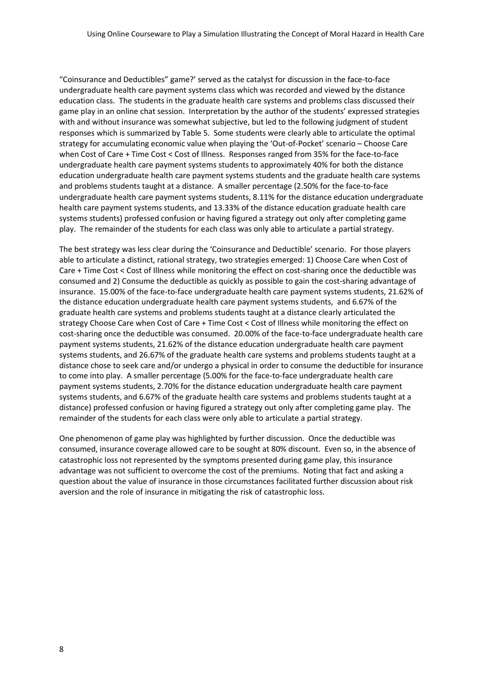"Coinsurance and Deductibles" game?' served as the catalyst for discussion in the face-to-face undergraduate health care payment systems class which was recorded and viewed by the distance education class. The students in the graduate health care systems and problems class discussed their game play in an online chat session. Interpretation by the author of the students' expressed strategies with and without insurance was somewhat subjective, but led to the following judgment of student responses which is summarized by Table 5. Some students were clearly able to articulate the optimal strategy for accumulating economic value when playing the 'Out-of-Pocket' scenario – Choose Care when Cost of Care + Time Cost < Cost of Illness. Responses ranged from 35% for the face-to-face undergraduate health care payment systems students to approximately 40% for both the distance education undergraduate health care payment systems students and the graduate health care systems and problems students taught at a distance. A smaller percentage (2.50% for the face-to-face undergraduate health care payment systems students, 8.11% for the distance education undergraduate health care payment systems students, and 13.33% of the distance education graduate health care systems students) professed confusion or having figured a strategy out only after completing game play. The remainder of the students for each class was only able to articulate a partial strategy.

The best strategy was less clear during the 'Coinsurance and Deductible' scenario. For those players able to articulate a distinct, rational strategy, two strategies emerged: 1) Choose Care when Cost of Care + Time Cost < Cost of Illness while monitoring the effect on cost-sharing once the deductible was consumed and 2) Consume the deductible as quickly as possible to gain the cost-sharing advantage of insurance. 15.00% of the face-to-face undergraduate health care payment systems students, 21.62% of the distance education undergraduate health care payment systems students, and 6.67% of the graduate health care systems and problems students taught at a distance clearly articulated the strategy Choose Care when Cost of Care + Time Cost < Cost of Illness while monitoring the effect on cost-sharing once the deductible was consumed. 20.00% of the face-to-face undergraduate health care payment systems students, 21.62% of the distance education undergraduate health care payment systems students, and 26.67% of the graduate health care systems and problems students taught at a distance chose to seek care and/or undergo a physical in order to consume the deductible for insurance to come into play. A smaller percentage (5.00% for the face-to-face undergraduate health care payment systems students, 2.70% for the distance education undergraduate health care payment systems students, and 6.67% of the graduate health care systems and problems students taught at a distance) professed confusion or having figured a strategy out only after completing game play. The remainder of the students for each class were only able to articulate a partial strategy.

One phenomenon of game play was highlighted by further discussion. Once the deductible was consumed, insurance coverage allowed care to be sought at 80% discount. Even so, in the absence of catastrophic loss not represented by the symptoms presented during game play, this insurance advantage was not sufficient to overcome the cost of the premiums. Noting that fact and asking a question about the value of insurance in those circumstances facilitated further discussion about risk aversion and the role of insurance in mitigating the risk of catastrophic loss.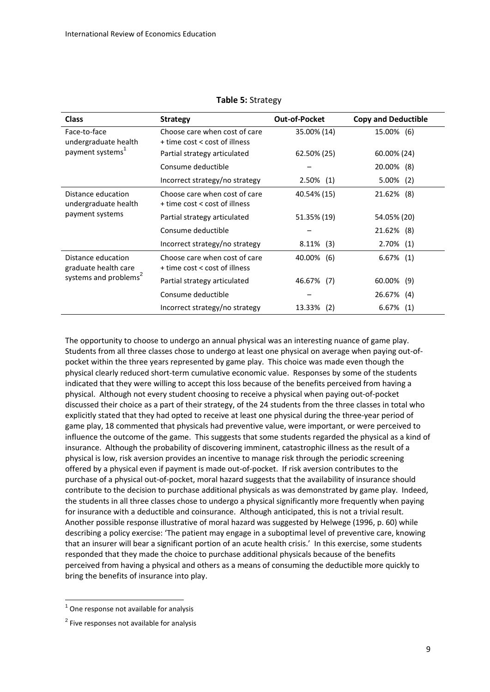| <b>Class</b>                               | <b>Strategy</b>                                                | <b>Out-of-Pocket</b> | <b>Copy and Deductible</b> |  |
|--------------------------------------------|----------------------------------------------------------------|----------------------|----------------------------|--|
| Face-to-face<br>undergraduate health       | Choose care when cost of care<br>+ time cost < cost of illness | 35.00% (14)          | 15.00% (6)                 |  |
| payment systems <sup>1</sup>               | Partial strategy articulated                                   | 62.50% (25)          | 60.00% (24)                |  |
|                                            | Consume deductible                                             |                      | 20.00% (8)                 |  |
|                                            | Incorrect strategy/no strategy                                 | $2.50\%$ (1)         | $5.00\%$ (2)               |  |
| Distance education<br>undergraduate health | Choose care when cost of care<br>+ time cost < cost of illness | 40.54% (15)          | 21.62% (8)                 |  |
| payment systems                            | Partial strategy articulated                                   | 51.35% (19)          | 54.05% (20)                |  |
|                                            | Consume deductible                                             |                      | 21.62% (8)                 |  |
|                                            | Incorrect strategy/no strategy                                 | $8.11\%$ (3)         | $2.70\%$ (1)               |  |
| Distance education<br>graduate health care | Choose care when cost of care<br>+ time cost < cost of illness | 40.00%<br>(6)        | $6.67\%$ (1)               |  |
| systems and problems <sup>2</sup>          | Partial strategy articulated                                   | 46.67% (7)           | 60.00%<br>(9)              |  |
|                                            | Consume deductible                                             |                      | 26.67% (4)                 |  |
|                                            | Incorrect strategy/no strategy                                 | 13.33%<br>(2)        | 6.67%<br>(1)               |  |

#### **Table 5:** Strategy

The opportunity to choose to undergo an annual physical was an interesting nuance of game play. Students from all three classes chose to undergo at least one physical on average when paying out-ofpocket within the three years represented by game play. This choice was made even though the physical clearly reduced short-term cumulative economic value. Responses by some of the students indicated that they were willing to accept this loss because of the benefits perceived from having a physical. Although not every student choosing to receive a physical when paying out-of-pocket discussed their choice as a part of their strategy, of the 24 students from the three classes in total who explicitly stated that they had opted to receive at least one physical during the three-year period of game play, 18 commented that physicals had preventive value, were important, or were perceived to influence the outcome of the game. This suggests that some students regarded the physical as a kind of insurance. Although the probability of discovering imminent, catastrophic illness as the result of a physical is low, risk aversion provides an incentive to manage risk through the periodic screening offered by a physical even if payment is made out-of-pocket. If risk aversion contributes to the purchase of a physical out-of-pocket, moral hazard suggests that the availability of insurance should contribute to the decision to purchase additional physicals as was demonstrated by game play. Indeed, the students in all three classes chose to undergo a physical significantly more frequently when paying for insurance with a deductible and coinsurance. Although anticipated, this is not a trivial result. Another possible response illustrative of moral hazard was suggested by Helwege (1996, p. 60) while describing a policy exercise: 'The patient may engage in a suboptimal level of preventive care, knowing that an insurer will bear a significant portion of an acute health crisis.' In this exercise, some students responded that they made the choice to purchase additional physicals because of the benefits perceived from having a physical and others as a means of consuming the deductible more quickly to bring the benefits of insurance into play.

 $\overline{a}$ 

 $<sup>1</sup>$  One response not available for analysis</sup>

<sup>&</sup>lt;sup>2</sup> Five responses not available for analysis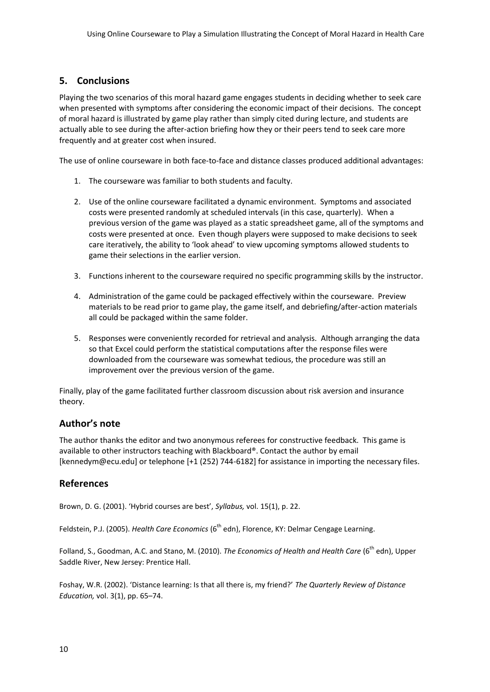# **5. Conclusions**

Playing the two scenarios of this moral hazard game engages students in deciding whether to seek care when presented with symptoms after considering the economic impact of their decisions. The concept of moral hazard is illustrated by game play rather than simply cited during lecture, and students are actually able to see during the after-action briefing how they or their peers tend to seek care more frequently and at greater cost when insured.

The use of online courseware in both face-to-face and distance classes produced additional advantages:

- 1. The courseware was familiar to both students and faculty.
- 2. Use of the online courseware facilitated a dynamic environment. Symptoms and associated costs were presented randomly at scheduled intervals (in this case, quarterly). When a previous version of the game was played as a static spreadsheet game, all of the symptoms and costs were presented at once. Even though players were supposed to make decisions to seek care iteratively, the ability to 'look ahead' to view upcoming symptoms allowed students to game their selections in the earlier version.
- 3. Functions inherent to the courseware required no specific programming skills by the instructor.
- 4. Administration of the game could be packaged effectively within the courseware. Preview materials to be read prior to game play, the game itself, and debriefing/after-action materials all could be packaged within the same folder.
- 5. Responses were conveniently recorded for retrieval and analysis. Although arranging the data so that Excel could perform the statistical computations after the response files were downloaded from the courseware was somewhat tedious, the procedure was still an improvement over the previous version of the game.

Finally, play of the game facilitated further classroom discussion about risk aversion and insurance theory.

# **Author's note**

The author thanks the editor and two anonymous referees for constructive feedback. This game is available to other instructors teaching with Blackboard®. Contact the author by email [\[kennedym@ecu.edu\]](mailto:kennedym@ecu.edu) or telephone [+1 (252) 744-6182] for assistance in importing the necessary files.

# **References**

Brown, D. G. (2001). 'Hybrid courses are best', *Syllabus,* vol. 15(1), p. 22.

Feldstein, P.J. (2005). *Health Care Economics* (6<sup>th</sup> edn), Florence, KY: Delmar Cengage Learning.

Folland, S., Goodman, A.C. and Stano, M. (2010). *The Economics of Health and Health Care* (6<sup>th</sup> edn), Upper Saddle River, New Jersey: Prentice Hall.

Foshay, W.R. (2002). 'Distance learning: Is that all there is, my friend?' *The Quarterly Review of Distance Education,* vol. 3(1), pp. 65–74.